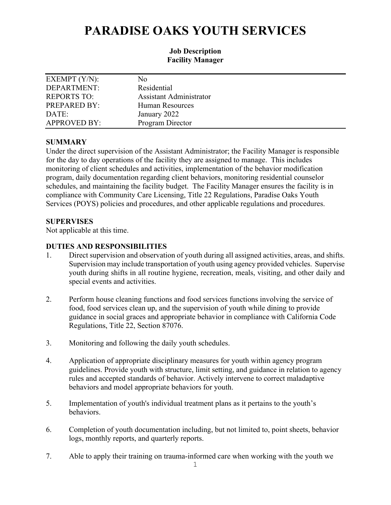# **PARADISE OAKS YOUTH SERVICES**

### **Job Description Facility Manager**

| EXEMPT $(Y/N)$ :    | No                      |
|---------------------|-------------------------|
| DEPARTMENT:         | Residential             |
| <b>REPORTS TO:</b>  | Assistant Administrator |
| PREPARED BY:        | Human Resources         |
| DATE:               | January 2022            |
| <b>APPROVED BY:</b> | Program Director        |

# **SUMMARY**

Under the direct supervision of the Assistant Administrator; the Facility Manager is responsible for the day to day operations of the facility they are assigned to manage. This includes monitoring of client schedules and activities, implementation of the behavior modification program, daily documentation regarding client behaviors, monitoring residential counselor schedules, and maintaining the facility budget. The Facility Manager ensures the facility is in compliance with Community Care Licensing, Title 22 Regulations, Paradise Oaks Youth Services (POYS) policies and procedures, and other applicable regulations and procedures.

# **SUPERVISES**

Not applicable at this time.

# **DUTIES AND RESPONSIBILITIES**

- 1. Direct supervision and observation of youth during all assigned activities, areas, and shifts. Supervision may include transportation of youth using agency provided vehicles. Supervise youth during shifts in all routine hygiene, recreation, meals, visiting, and other daily and special events and activities.
- 2. Perform house cleaning functions and food services functions involving the service of food, food services clean up, and the supervision of youth while dining to provide guidance in social graces and appropriate behavior in compliance with California Code Regulations, Title 22, Section 87076.
- 3. Monitoring and following the daily youth schedules.
- 4. Application of appropriate disciplinary measures for youth within agency program guidelines. Provide youth with structure, limit setting, and guidance in relation to agency rules and accepted standards of behavior. Actively intervene to correct maladaptive behaviors and model appropriate behaviors for youth.
- 5. Implementation of youth's individual treatment plans as it pertains to the youth's behaviors.
- 6. Completion of youth documentation including, but not limited to, point sheets, behavior logs, monthly reports, and quarterly reports.
- 7. Able to apply their training on trauma-informed care when working with the youth we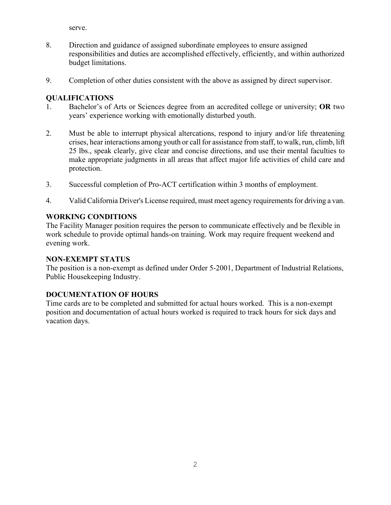serve.

- 8. Direction and guidance of assigned subordinate employees to ensure assigned responsibilities and duties are accomplished effectively, efficiently, and within authorized budget limitations.
- 9. Completion of other duties consistent with the above as assigned by direct supervisor.

# **QUALIFICATIONS**

- 1. Bachelor's of Arts or Sciences degree from an accredited college or university; **OR** two years' experience working with emotionally disturbed youth.
- 2. Must be able to interrupt physical altercations, respond to injury and/or life threatening crises, hear interactions among youth or call for assistance from staff, to walk, run, climb, lift 25 lbs., speak clearly, give clear and concise directions, and use their mental faculties to make appropriate judgments in all areas that affect major life activities of child care and protection.
- 3. Successful completion of Pro-ACT certification within 3 months of employment.
- 4. Valid California Driver's License required, must meet agency requirements for driving a van.

# **WORKING CONDITIONS**

The Facility Manager position requires the person to communicate effectively and be flexible in work schedule to provide optimal hands-on training. Work may require frequent weekend and evening work.

### **NON-EXEMPT STATUS**

The position is a non-exempt as defined under Order 5-2001, Department of Industrial Relations, Public Housekeeping Industry.

# **DOCUMENTATION OF HOURS**

Time cards are to be completed and submitted for actual hours worked. This is a non-exempt position and documentation of actual hours worked is required to track hours for sick days and vacation days.